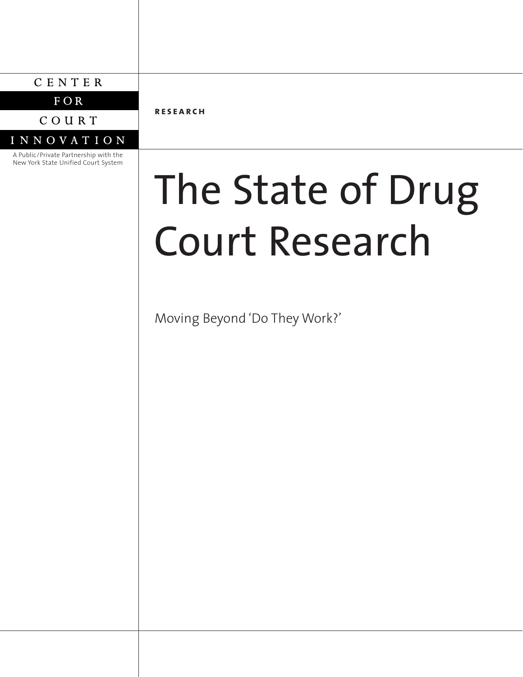## CENTER

 $FOR$ 

COURT

## **INNOVATION**

A Public/Private Partnership with the New York State Unified Court System

**research**

# The State of Drug Court Research

Moving Beyond 'Do They Work?'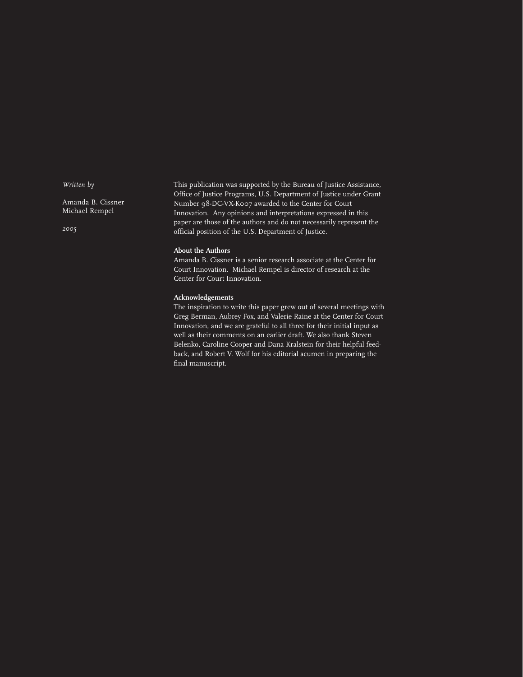*Written by*

Amanda B. Cissner Michael Rempel

*2005*

This publication was supported by the Bureau of Justice Assistance, Office of Justice Programs, U.S. Department of Justice under Grant Number 98-DC-VX-K007 awarded to the Center for Court Innovation. Any opinions and interpretations expressed in this paper are those of the authors and do not necessarily represent the official position of the U.S. Department of Justice.

#### **About the Authors**

Amanda B. Cissner is a senior research associate at the Center for Court Innovation. Michael Rempel is director of research at the Center for Court Innovation.

#### **Acknowledgements**

The inspiration to write this paper grew out of several meetings with Greg Berman, Aubrey Fox, and Valerie Raine at the Center for Court Innovation, and we are grateful to all three for their initial input as well as their comments on an earlier draft. We also thank Steven Belenko, Caroline Cooper and Dana Kralstein for their helpful feedback, and Robert V. Wolf for his editorial acumen in preparing the final manuscript.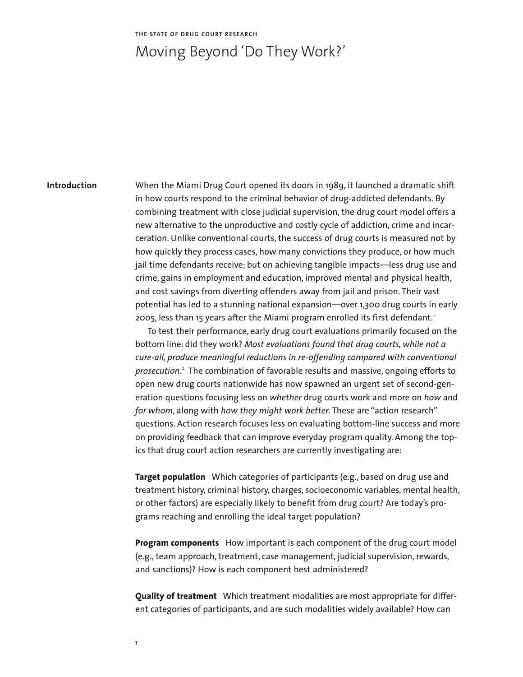#### **THE STATE OF DRUG COURT RESEARCH**

# Moving Beyond 'Do They Work?'

#### **Introduction**

When the Miami Drug Court opened its doors in 1989, it launched a dramatic shift in how courts respond to the criminal behavior of drug-addicted defendants. By combining treatment with close judicial supervision, the drug court model offers a new alternative to the unproductive and costly cycle of addiction, crime and incarceration. Unlike conventional courts, the success of drug courts is measured not by how quickly they process cases, how many convictions they produce, or how much jail time defendants receive; but on achieving tangible impacts—less drug use and crime, gains in employment and education, improved mental and physical health, and cost savings from diverting offenders away from jail and prison. Their vast potential has led to a stunning national expansion—over 1,300 drug courts in early 2005, less than 15 years after the Miami program enrolled its first defendant.<sup>1</sup>

To test their performance, early drug court evaluations primarily focused on the bottom line: did they work? *Most evaluations found that drug courts, while not a cure-all, produce meaningful reductions in re-offending compared with conventional prosecution*. <sup>2</sup> The combination of favorable results and massive, ongoing efforts to open new drug courts nationwide has now spawned an urgent set of second-generation questions focusing less on *whether* drug courts work and more on *how* and *for whom*, along with *how they might work better*. These are "action research" questions. Action research focuses less on evaluating bottom-line success and more on providing feedback that can improve everyday program quality. Among the topics that drug court action researchers are currently investigating are:

**Target population** Which categories of participants (e.g., based on drug use and treatment history, criminal history, charges, socioeconomic variables, mental health, or other factors) are especially likely to benefit from drug court? Are today's programs reaching and enrolling the ideal target population?

**Program components** How important is each component of the drug court model (e.g., team approach, treatment, case management, judicial supervision, rewards, and sanctions)? How is each component best administered?

**Quality of treatment** Which treatment modalities are most appropriate for different categories of participants, and are such modalities widely available? How can

**1**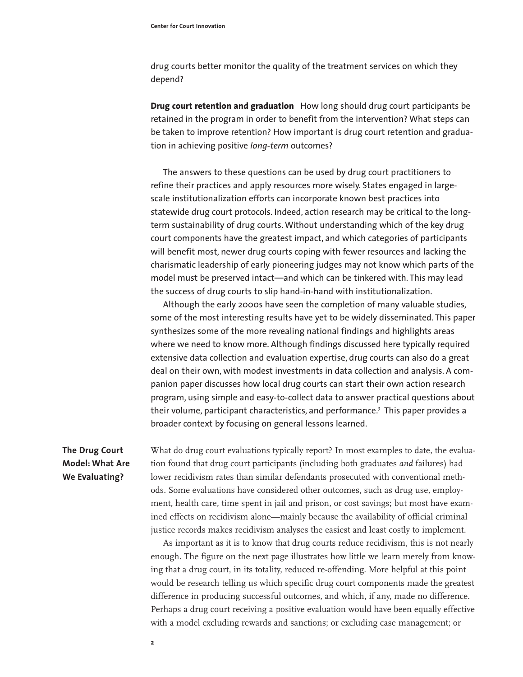drug courts better monitor the quality of the treatment services on which they depend?

**Drug court retention and graduation** How long should drug court participants be retained in the program in order to benefit from the intervention? What steps can be taken to improve retention? How important is drug court retention and graduation in achieving positive *long-term* outcomes?

The answers to these questions can be used by drug court practitioners to refine their practices and apply resources more wisely. States engaged in largescale institutionalization efforts can incorporate known best practices into statewide drug court protocols. Indeed, action research may be critical to the longterm sustainability of drug courts. Without understanding which of the key drug court components have the greatest impact, and which categories of participants will benefit most, newer drug courts coping with fewer resources and lacking the charismatic leadership of early pioneering judges may not know which parts of the model must be preserved intact—and which can be tinkered with. This may lead the success of drug courts to slip hand-in-hand with institutionalization.

Although the early 2000s have seen the completion of many valuable studies, some of the most interesting results have yet to be widely disseminated. This paper synthesizes some of the more revealing national findings and highlights areas where we need to know more. Although findings discussed here typically required extensive data collection and evaluation expertise, drug courts can also do a great deal on their own, with modest investments in data collection and analysis. A companion paper discusses how local drug courts can start their own action research program, using simple and easy-to-collect data to answer practical questions about their volume, participant characteristics, and performance.<sup>3</sup> This paper provides a broader context by focusing on general lessons learned.

## **The Drug Court Model: What Are We Evaluating?**

What do drug court evaluations typically report? In most examples to date, the evaluation found that drug court participants (including both graduates *and* failures) had lower recidivism rates than similar defendants prosecuted with conventional methods. Some evaluations have considered other outcomes, such as drug use, employment, health care, time spent in jail and prison, or cost savings; but most have examined effects on recidivism alone—mainly because the availability of official criminal justice records makes recidivism analyses the easiest and least costly to implement.

As important as it is to know that drug courts reduce recidivism, this is not nearly enough. The figure on the next page illustrates how little we learn merely from knowing that a drug court, in its totality, reduced re-offending. More helpful at this point would be research telling us which specific drug court components made the greatest difference in producing successful outcomes, and which, if any, made no difference. Perhaps a drug court receiving a positive evaluation would have been equally effective with a model excluding rewards and sanctions; or excluding case management; or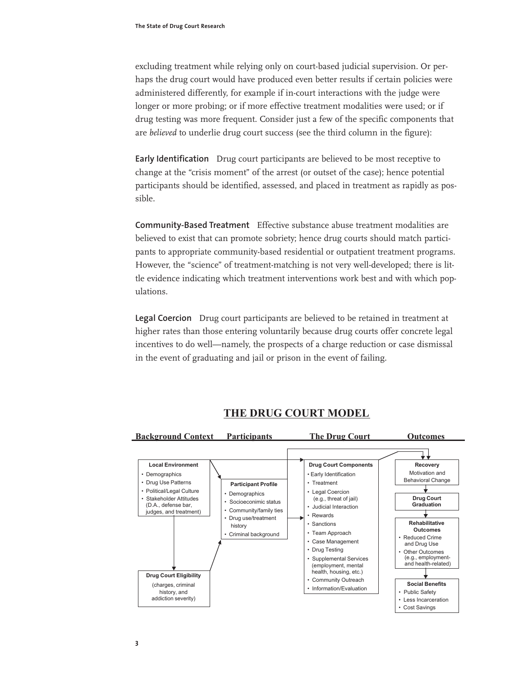excluding treatment while relying only on court-based judicial supervision. Or perhaps the drug court would have produced even better results if certain policies were administered differently, for example if in-court interactions with the judge were longer or more probing; or if more effective treatment modalities were used; or if drug testing was more frequent. Consider just a few of the specific components that are *believed* to underlie drug court success (see the third column in the figure):

**Early Identification** Drug court participants are believed to be most receptive to change at the "crisis moment" of the arrest (or outset of the case); hence potential participants should be identified, assessed, and placed in treatment as rapidly as possible.

**Community-Based Treatment** Effective substance abuse treatment modalities are believed to exist that can promote sobriety; hence drug courts should match participants to appropriate community-based residential or outpatient treatment programs. However, the "science" of treatment-matching is not very well-developed; there is little evidence indicating which treatment interventions work best and with which populations.

**Legal Coercion** Drug court participants are believed to be retained in treatment at higher rates than those entering voluntarily because drug courts offer concrete legal incentives to do well—namely, the prospects of a charge reduction or case dismissal in the event of graduating and jail or prison in the event of failing.



## THE DRUG COURT MODEL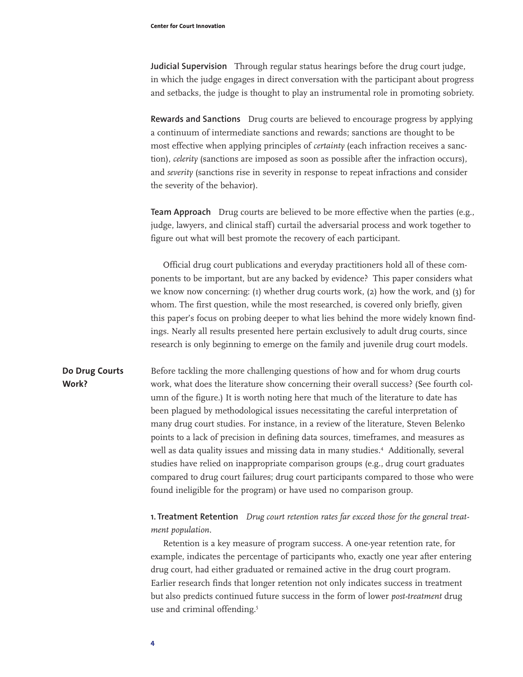**Judicial Supervision** Through regular status hearings before the drug court judge, in which the judge engages in direct conversation with the participant about progress and setbacks, the judge is thought to play an instrumental role in promoting sobriety.

**Rewards and Sanctions** Drug courts are believed to encourage progress by applying a continuum of intermediate sanctions and rewards; sanctions are thought to be most effective when applying principles of *certainty* (each infraction receives a sanction), *celerity* (sanctions are imposed as soon as possible after the infraction occurs), and *severity* (sanctions rise in severity in response to repeat infractions and consider the severity of the behavior).

**Team Approach** Drug courts are believed to be more effective when the parties (e.g., judge, lawyers, and clinical staff) curtail the adversarial process and work together to figure out what will best promote the recovery of each participant.

Official drug court publications and everyday practitioners hold all of these components to be important, but are any backed by evidence? This paper considers what we know now concerning:  $(i)$  whether drug courts work,  $(2)$  how the work, and  $(3)$  for whom. The first question, while the most researched, is covered only briefly, given this paper's focus on probing deeper to what lies behind the more widely known findings. Nearly all results presented here pertain exclusively to adult drug courts, since research is only beginning to emerge on the family and juvenile drug court models.

Before tackling the more challenging questions of how and for whom drug courts work, what does the literature show concerning their overall success? (See fourth column of the figure.) It is worth noting here that much of the literature to date has been plagued by methodological issues necessitating the careful interpretation of many drug court studies. For instance, in a review of the literature, Steven Belenko points to a lack of precision in defining data sources, timeframes, and measures as well as data quality issues and missing data in many studies.<sup>4</sup> Additionally, several studies have relied on inappropriate comparison groups (e.g., drug court graduates compared to drug court failures; drug court participants compared to those who were found ineligible for the program) or have used no comparison group. **Do Drug Courts Work?**

### **1. Treatment Retention** *Drug court retention rates far exceed those for the general treatment population.*

Retention is a key measure of program success. A one-year retention rate, for example, indicates the percentage of participants who, exactly one year after entering drug court, had either graduated or remained active in the drug court program. Earlier research finds that longer retention not only indicates success in treatment but also predicts continued future success in the form of lower *post-treatment* drug use and criminal offending.<sup>5</sup>

**4**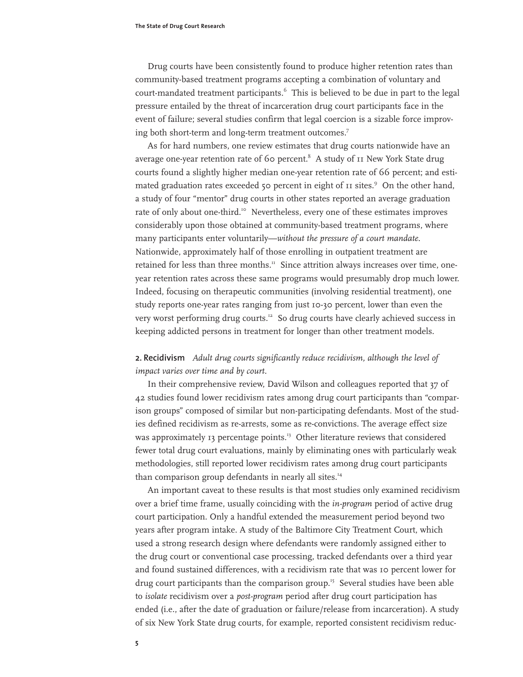Drug courts have been consistently found to produce higher retention rates than community-based treatment programs accepting a combination of voluntary and court-mandated treatment participants.<sup>6</sup> This is believed to be due in part to the legal pressure entailed by the threat of incarceration drug court participants face in the event of failure; several studies confirm that legal coercion is a sizable force improving both short-term and long-term treatment outcomes.<sup>7</sup>

As for hard numbers, one review estimates that drug courts nationwide have an average one-year retention rate of 60 percent. $8$  A study of  $II$  New York State drug courts found a slightly higher median one-year retention rate of 66 percent; and estimated graduation rates exceeded 50 percent in eight of II sites.<sup>9</sup> On the other hand, a study of four "mentor" drug courts in other states reported an average graduation rate of only about one-third.<sup>10</sup> Nevertheless, every one of these estimates improves considerably upon those obtained at community-based treatment programs, where many participants enter voluntarily—*without the pressure of a court mandate*. Nationwide, approximately half of those enrolling in outpatient treatment are retained for less than three months.<sup>11</sup> Since attrition always increases over time, oneyear retention rates across these same programs would presumably drop much lower. Indeed, focusing on therapeutic communities (involving residential treatment), one study reports one-year rates ranging from just 10-30 percent, lower than even the very worst performing drug courts.<sup>12</sup> So drug courts have clearly achieved success in keeping addicted persons in treatment for longer than other treatment models.

#### **2. Recidivism** *Adult drug courts significantly reduce recidivism, although the level of impact varies over time and by court.*

In their comprehensive review, David Wilson and colleagues reported that 37 of 42 studies found lower recidivism rates among drug court participants than "comparison groups" composed of similar but non-participating defendants. Most of the studies defined recidivism as re-arrests, some as re-convictions. The average effect size was approximately 13 percentage points.<sup>13</sup> Other literature reviews that considered fewer total drug court evaluations, mainly by eliminating ones with particularly weak methodologies, still reported lower recidivism rates among drug court participants than comparison group defendants in nearly all sites.<sup>14</sup>

An important caveat to these results is that most studies only examined recidivism over a brief time frame, usually coinciding with the *in-program* period of active drug court participation. Only a handful extended the measurement period beyond two years after program intake. A study of the Baltimore City Treatment Court, which used a strong research design where defendants were randomly assigned either to the drug court or conventional case processing, tracked defendants over a third year and found sustained differences, with a recidivism rate that was 10 percent lower for drug court participants than the comparison group.<sup>15</sup> Several studies have been able to *isolate* recidivism over a *post-program* period after drug court participation has ended (i.e., after the date of graduation or failure/release from incarceration). A study of six New York State drug courts, for example, reported consistent recidivism reduc-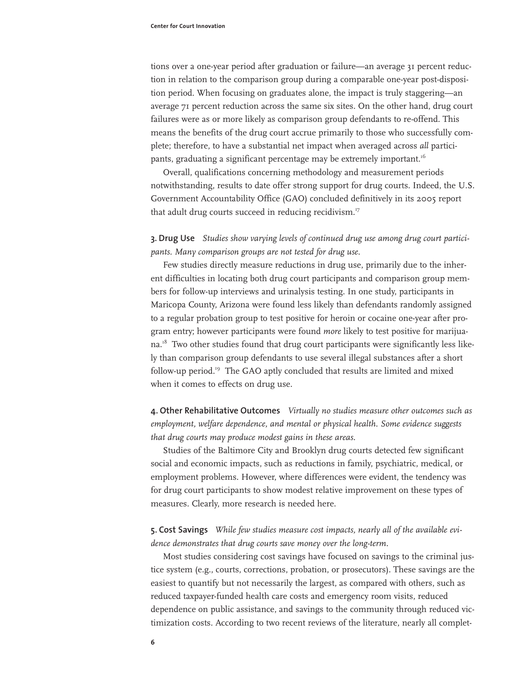tions over a one-year period after graduation or failure—an average 31 percent reduction in relation to the comparison group during a comparable one-year post-disposition period. When focusing on graduates alone, the impact is truly staggering—an average 71 percent reduction across the same six sites. On the other hand, drug court failures were as or more likely as comparison group defendants to re-offend. This means the benefits of the drug court accrue primarily to those who successfully complete; therefore, to have a substantial net impact when averaged across *all* participants, graduating a significant percentage may be extremely important.<sup>16</sup>

Overall, qualifications concerning methodology and measurement periods notwithstanding, results to date offer strong support for drug courts. Indeed, the U.S. Government Accountability Office (GAO) concluded definitively in its 2005 report that adult drug courts succeed in reducing recidivism. $17$ 

**3. Drug Use** *Studies show varying levels of continued drug use among drug court participants. Many comparison groups are not tested for drug use.*

Few studies directly measure reductions in drug use, primarily due to the inherent difficulties in locating both drug court participants and comparison group members for follow-up interviews and urinalysis testing. In one study, participants in Maricopa County, Arizona were found less likely than defendants randomly assigned to a regular probation group to test positive for heroin or cocaine one-year after program entry; however participants were found *more* likely to test positive for marijuana.<sup>18</sup> Two other studies found that drug court participants were significantly less likely than comparison group defendants to use several illegal substances after a short follow-up period.19 The GAO aptly concluded that results are limited and mixed when it comes to effects on drug use.

**4. Other Rehabilitative Outcomes** *Virtually no studies measure other outcomes such as employment, welfare dependence, and mental or physical health. Some evidence suggests that drug courts may produce modest gains in these areas.*

Studies of the Baltimore City and Brooklyn drug courts detected few significant social and economic impacts, such as reductions in family, psychiatric, medical, or employment problems. However, where differences were evident, the tendency was for drug court participants to show modest relative improvement on these types of measures. Clearly, more research is needed here.

#### **5. Cost Savings** *While few studies measure cost impacts, nearly all of the available evidence demonstrates that drug courts save money over the long-term.*

Most studies considering cost savings have focused on savings to the criminal justice system (e.g., courts, corrections, probation, or prosecutors). These savings are the easiest to quantify but not necessarily the largest, as compared with others, such as reduced taxpayer-funded health care costs and emergency room visits, reduced dependence on public assistance, and savings to the community through reduced victimization costs. According to two recent reviews of the literature, nearly all complet-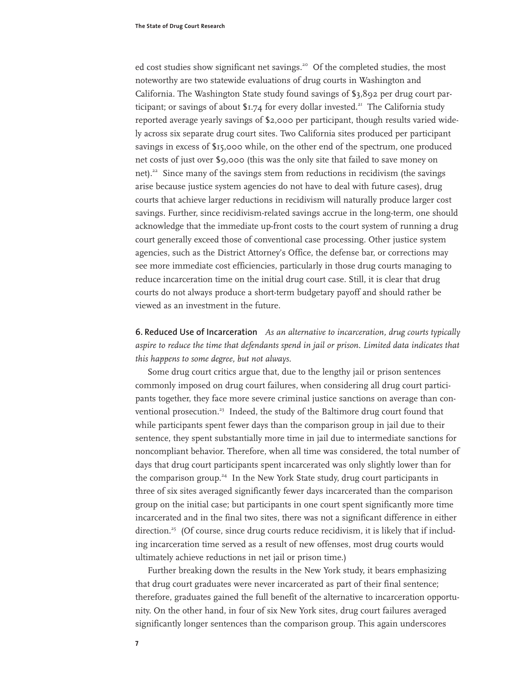ed cost studies show significant net savings.<sup>20</sup> Of the completed studies, the most noteworthy are two statewide evaluations of drug courts in Washington and California. The Washington State study found savings of \$3,892 per drug court participant; or savings of about  $$1.74$  for every dollar invested.<sup>21</sup> The California study reported average yearly savings of \$2,000 per participant, though results varied widely across six separate drug court sites. Two California sites produced per participant savings in excess of \$15,000 while, on the other end of the spectrum, one produced net costs of just over \$9,000 (this was the only site that failed to save money on net).<sup>22</sup> Since many of the savings stem from reductions in recidivism (the savings arise because justice system agencies do not have to deal with future cases), drug courts that achieve larger reductions in recidivism will naturally produce larger cost savings. Further, since recidivism-related savings accrue in the long-term, one should acknowledge that the immediate up-front costs to the court system of running a drug court generally exceed those of conventional case processing. Other justice system agencies, such as the District Attorney's Office, the defense bar, or corrections may see more immediate cost efficiencies, particularly in those drug courts managing to reduce incarceration time on the initial drug court case. Still, it is clear that drug courts do not always produce a short-term budgetary payoff and should rather be viewed as an investment in the future.

**6. Reduced Use of Incarceration** *As an alternative to incarceration, drug courts typically aspire to reduce the time that defendants spend in jail or prison. Limited data indicates that this happens to some degree, but not always.*

Some drug court critics argue that, due to the lengthy jail or prison sentences commonly imposed on drug court failures, when considering all drug court participants together, they face more severe criminal justice sanctions on average than conventional prosecution.<sup>23</sup> Indeed, the study of the Baltimore drug court found that while participants spent fewer days than the comparison group in jail due to their sentence, they spent substantially more time in jail due to intermediate sanctions for noncompliant behavior. Therefore, when all time was considered, the total number of days that drug court participants spent incarcerated was only slightly lower than for the comparison group.<sup>24</sup> In the New York State study, drug court participants in three of six sites averaged significantly fewer days incarcerated than the comparison group on the initial case; but participants in one court spent significantly more time incarcerated and in the final two sites, there was not a significant difference in either direction.<sup>25</sup> (Of course, since drug courts reduce recidivism, it is likely that if including incarceration time served as a result of new offenses, most drug courts would ultimately achieve reductions in net jail or prison time.)

Further breaking down the results in the New York study, it bears emphasizing that drug court graduates were never incarcerated as part of their final sentence; therefore, graduates gained the full benefit of the alternative to incarceration opportunity. On the other hand, in four of six New York sites, drug court failures averaged significantly longer sentences than the comparison group. This again underscores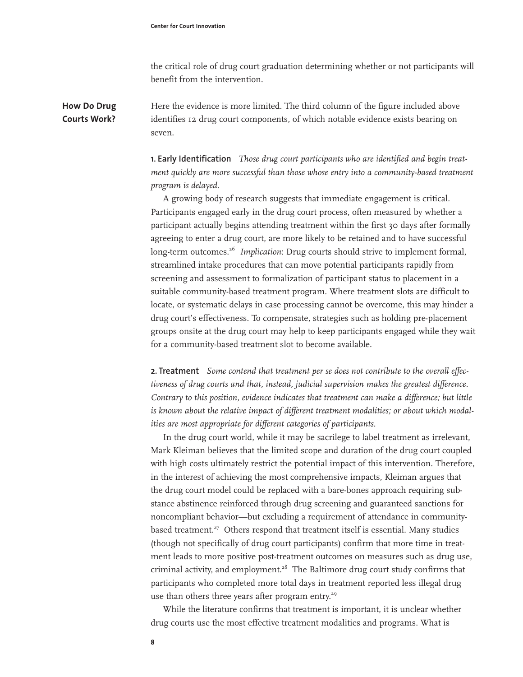the critical role of drug court graduation determining whether or not participants will benefit from the intervention.

Here the evidence is more limited. The third column of the figure included above identifies 12 drug court components, of which notable evidence exists bearing on seven. **How Do Drug Courts Work?**

> **1. Early Identification** *Those drug court participants who are identified and begin treatment quickly are more successful than those whose entry into a community-based treatment program is delayed.*

> A growing body of research suggests that immediate engagement is critical. Participants engaged early in the drug court process, often measured by whether a participant actually begins attending treatment within the first 30 days after formally agreeing to enter a drug court, are more likely to be retained and to have successful long-term outcomes.<sup>26</sup> *Implication*: Drug courts should strive to implement formal, streamlined intake procedures that can move potential participants rapidly from screening and assessment to formalization of participant status to placement in a suitable community-based treatment program. Where treatment slots are difficult to locate, or systematic delays in case processing cannot be overcome, this may hinder a drug court's effectiveness. To compensate, strategies such as holding pre-placement groups onsite at the drug court may help to keep participants engaged while they wait for a community-based treatment slot to become available.

> **2. Treatment** *Some contend that treatment per se does not contribute to the overall effectiveness of drug courts and that, instead, judicial supervision makes the greatest difference. Contrary to this position, evidence indicates that treatment can make a difference; but little is known about the relative impact of different treatment modalities; or about which modalities are most appropriate for different categories of participants.*

> In the drug court world, while it may be sacrilege to label treatment as irrelevant, Mark Kleiman believes that the limited scope and duration of the drug court coupled with high costs ultimately restrict the potential impact of this intervention. Therefore, in the interest of achieving the most comprehensive impacts, Kleiman argues that the drug court model could be replaced with a bare-bones approach requiring substance abstinence reinforced through drug screening and guaranteed sanctions for noncompliant behavior—but excluding a requirement of attendance in communitybased treatment.<sup>27</sup> Others respond that treatment itself is essential. Many studies (though not specifically of drug court participants) confirm that more time in treatment leads to more positive post-treatment outcomes on measures such as drug use, criminal activity, and employment. $28$  The Baltimore drug court study confirms that participants who completed more total days in treatment reported less illegal drug use than others three years after program entry.<sup>29</sup>

While the literature confirms that treatment is important, it is unclear whether drug courts use the most effective treatment modalities and programs. What is

**8**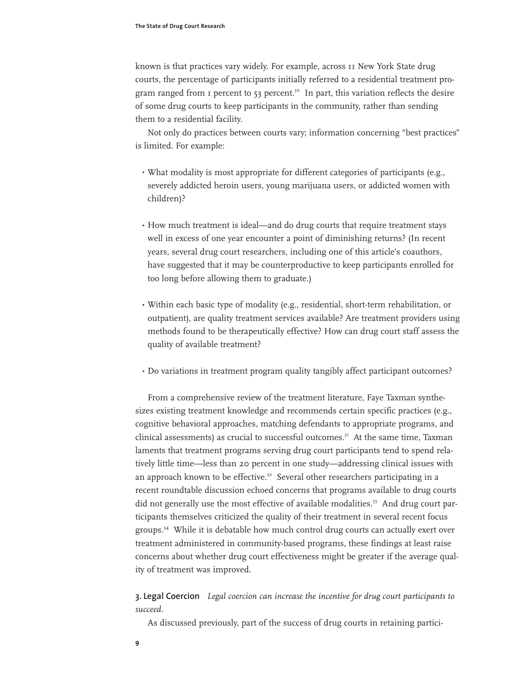known is that practices vary widely. For example, across 11 New York State drug courts, the percentage of participants initially referred to a residential treatment program ranged from  $\bar{1}$  percent to 53 percent.<sup>30</sup> In part, this variation reflects the desire of some drug courts to keep participants in the community, rather than sending them to a residential facility.

Not only do practices between courts vary; information concerning "best practices" is limited. For example:

- What modality is most appropriate for different categories of participants (e.g., severely addicted heroin users, young marijuana users, or addicted women with children)?
- $\cdot$  How much treatment is ideal—and do drug courts that require treatment stays well in excess of one year encounter a point of diminishing returns? (In recent years, several drug court researchers, including one of this article's coauthors, have suggested that it may be counterproductive to keep participants enrolled for too long before allowing them to graduate.)
- Within each basic type of modality (e.g., residential, short-term rehabilitation, or outpatient), are quality treatment services available? Are treatment providers using methods found to be therapeutically effective? How can drug court staff assess the quality of available treatment?
- Do variations in treatment program quality tangibly affect participant outcomes? •

From a comprehensive review of the treatment literature, Faye Taxman synthesizes existing treatment knowledge and recommends certain specific practices (e.g., cognitive behavioral approaches, matching defendants to appropriate programs, and clinical assessments) as crucial to successful outcomes.<sup>31</sup> At the same time, Taxman laments that treatment programs serving drug court participants tend to spend relatively little time—less than 20 percent in one study—addressing clinical issues with an approach known to be effective.<sup>32</sup> Several other researchers participating in a recent roundtable discussion echoed concerns that programs available to drug courts did not generally use the most effective of available modalities.<sup>33</sup> And drug court participants themselves criticized the quality of their treatment in several recent focus groups.34 While it is debatable how much control drug courts can actually exert over treatment administered in community-based programs, these findings at least raise concerns about whether drug court effectiveness might be greater if the average quality of treatment was improved.

**3. Legal Coercion** *Legal coercion can increase the incentive for drug court participants to succeed.*

As discussed previously, part of the success of drug courts in retaining partici-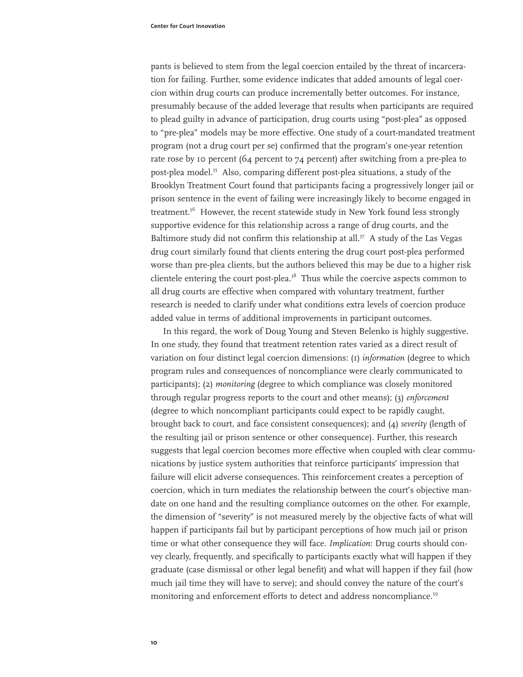pants is believed to stem from the legal coercion entailed by the threat of incarceration for failing. Further, some evidence indicates that added amounts of legal coercion within drug courts can produce incrementally better outcomes. For instance, presumably because of the added leverage that results when participants are required to plead guilty in advance of participation, drug courts using "post-plea" as opposed to "pre-plea" models may be more effective. One study of a court-mandated treatment program (not a drug court per se) confirmed that the program's one-year retention rate rose by 10 percent (64 percent to 74 percent) after switching from a pre-plea to post-plea model.<sup>35</sup> Also, comparing different post-plea situations, a study of the Brooklyn Treatment Court found that participants facing a progressively longer jail or prison sentence in the event of failing were increasingly likely to become engaged in treatment.<sup>36</sup> However, the recent statewide study in New York found less strongly supportive evidence for this relationship across a range of drug courts, and the Baltimore study did not confirm this relationship at all.<sup>37</sup> A study of the Las Vegas drug court similarly found that clients entering the drug court post-plea performed worse than pre-plea clients, but the authors believed this may be due to a higher risk clientele entering the court post-plea. $3<sup>8</sup>$  Thus while the coercive aspects common to all drug courts are effective when compared with voluntary treatment, further research is needed to clarify under what conditions extra levels of coercion produce added value in terms of additional improvements in participant outcomes.

In this regard, the work of Doug Young and Steven Belenko is highly suggestive. In one study, they found that treatment retention rates varied as a direct result of variation on four distinct legal coercion dimensions: (1) *information* (degree to which program rules and consequences of noncompliance were clearly communicated to participants); (2) *monitoring* (degree to which compliance was closely monitored through regular progress reports to the court and other means); (3) *enforcement* (degree to which noncompliant participants could expect to be rapidly caught, brought back to court, and face consistent consequences); and (4) *severity* (length of the resulting jail or prison sentence or other consequence). Further, this research suggests that legal coercion becomes more effective when coupled with clear communications by justice system authorities that reinforce participants' impression that failure will elicit adverse consequences. This reinforcement creates a perception of coercion, which in turn mediates the relationship between the court's objective mandate on one hand and the resulting compliance outcomes on the other. For example, the dimension of "severity" is not measured merely by the objective facts of what will happen if participants fail but by participant perceptions of how much jail or prison time or what other consequence they will face. *Implication*: Drug courts should convey clearly, frequently, and specifically to participants exactly what will happen if they graduate (case dismissal or other legal benefit) and what will happen if they fail (how much jail time they will have to serve); and should convey the nature of the court's monitoring and enforcement efforts to detect and address noncompliance.<sup>39</sup>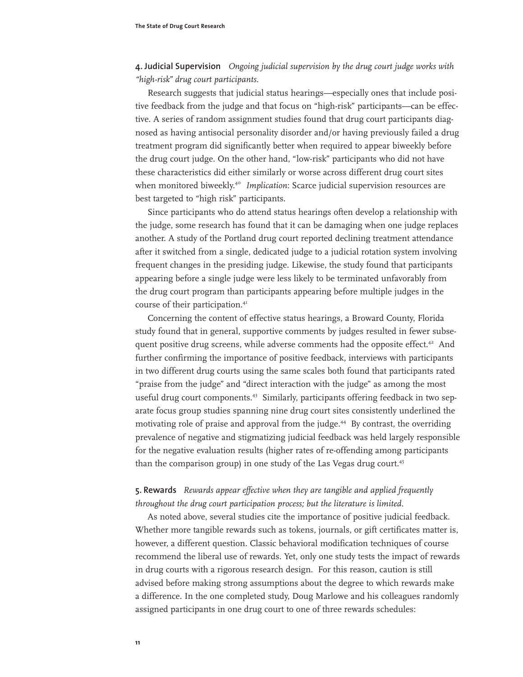**4. Judicial Supervision** *Ongoing judicial supervision by the drug court judge works with "high-risk" drug court participants.*

Research suggests that judicial status hearings—especially ones that include positive feedback from the judge and that focus on "high-risk" participants—can be effective. A series of random assignment studies found that drug court participants diagnosed as having antisocial personality disorder and/or having previously failed a drug treatment program did significantly better when required to appear biweekly before the drug court judge. On the other hand, "low-risk" participants who did not have these characteristics did either similarly or worse across different drug court sites when monitored biweekly.<sup>40</sup> *Implication*: Scarce judicial supervision resources are best targeted to "high risk" participants.

Since participants who do attend status hearings often develop a relationship with the judge, some research has found that it can be damaging when one judge replaces another. A study of the Portland drug court reported declining treatment attendance after it switched from a single, dedicated judge to a judicial rotation system involving frequent changes in the presiding judge. Likewise, the study found that participants appearing before a single judge were less likely to be terminated unfavorably from the drug court program than participants appearing before multiple judges in the course of their participation.<sup>41</sup>

Concerning the content of effective status hearings, a Broward County, Florida study found that in general, supportive comments by judges resulted in fewer subsequent positive drug screens, while adverse comments had the opposite effect. $42$  And further confirming the importance of positive feedback, interviews with participants in two different drug courts using the same scales both found that participants rated "praise from the judge" and "direct interaction with the judge" as among the most useful drug court components.43 Similarly, participants offering feedback in two separate focus group studies spanning nine drug court sites consistently underlined the motivating role of praise and approval from the judge.<sup>44</sup> By contrast, the overriding prevalence of negative and stigmatizing judicial feedback was held largely responsible for the negative evaluation results (higher rates of re-offending among participants than the comparison group) in one study of the Las Vegas drug court.<sup>45</sup>

### **5. Rewards** *Rewards appear effective when they are tangible and applied frequently throughout the drug court participation process; but the literature is limited.*

As noted above, several studies cite the importance of positive judicial feedback. Whether more tangible rewards such as tokens, journals, or gift certificates matter is, however, a different question. Classic behavioral modification techniques of course recommend the liberal use of rewards. Yet, only one study tests the impact of rewards in drug courts with a rigorous research design. For this reason, caution is still advised before making strong assumptions about the degree to which rewards make a difference. In the one completed study, Doug Marlowe and his colleagues randomly assigned participants in one drug court to one of three rewards schedules: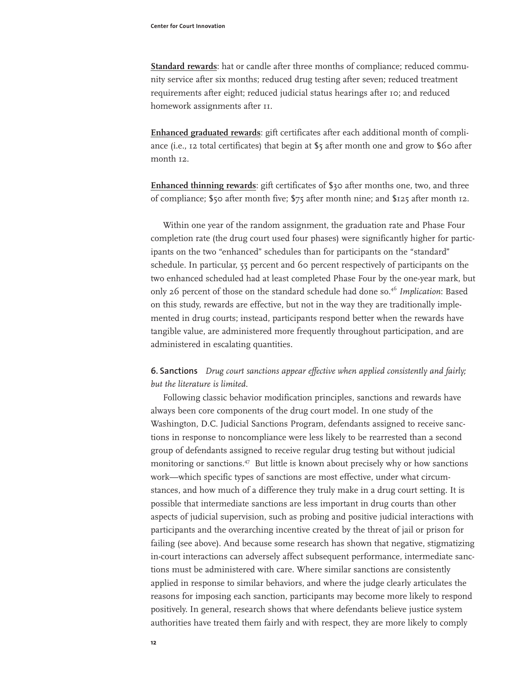**Standard rewards**: hat or candle after three months of compliance; reduced community service after six months; reduced drug testing after seven; reduced treatment requirements after eight; reduced judicial status hearings after 10; and reduced homework assignments after  $II$ .

**Enhanced graduated rewards**: gift certificates after each additional month of compliance (i.e., 12 total certificates) that begin at \$5 after month one and grow to \$60 after month 12.

**Enhanced thinning rewards**: gift certificates of \$30 after months one, two, and three of compliance; \$50 after month five; \$75 after month nine; and \$125 after month 12.

Within one year of the random assignment, the graduation rate and Phase Four completion rate (the drug court used four phases) were significantly higher for participants on the two "enhanced" schedules than for participants on the "standard" schedule. In particular, 55 percent and 60 percent respectively of participants on the two enhanced scheduled had at least completed Phase Four by the one-year mark, but only 26 percent of those on the standard schedule had done so.<sup>46</sup> Implication: Based on this study, rewards are effective, but not in the way they are traditionally implemented in drug courts; instead, participants respond better when the rewards have tangible value, are administered more frequently throughout participation, and are administered in escalating quantities.

## **6. Sanctions** *Drug court sanctions appear effective when applied consistently and fairly; but the literature is limited.*

Following classic behavior modification principles, sanctions and rewards have always been core components of the drug court model. In one study of the Washington, D.C. Judicial Sanctions Program, defendants assigned to receive sanctions in response to noncompliance were less likely to be rearrested than a second group of defendants assigned to receive regular drug testing but without judicial monitoring or sanctions.47 But little is known about precisely why or how sanctions work—which specific types of sanctions are most effective, under what circumstances, and how much of a difference they truly make in a drug court setting. It is possible that intermediate sanctions are less important in drug courts than other aspects of judicial supervision, such as probing and positive judicial interactions with participants and the overarching incentive created by the threat of jail or prison for failing (see above). And because some research has shown that negative, stigmatizing in-court interactions can adversely affect subsequent performance, intermediate sanctions must be administered with care. Where similar sanctions are consistently applied in response to similar behaviors, and where the judge clearly articulates the reasons for imposing each sanction, participants may become more likely to respond positively. In general, research shows that where defendants believe justice system authorities have treated them fairly and with respect, they are more likely to comply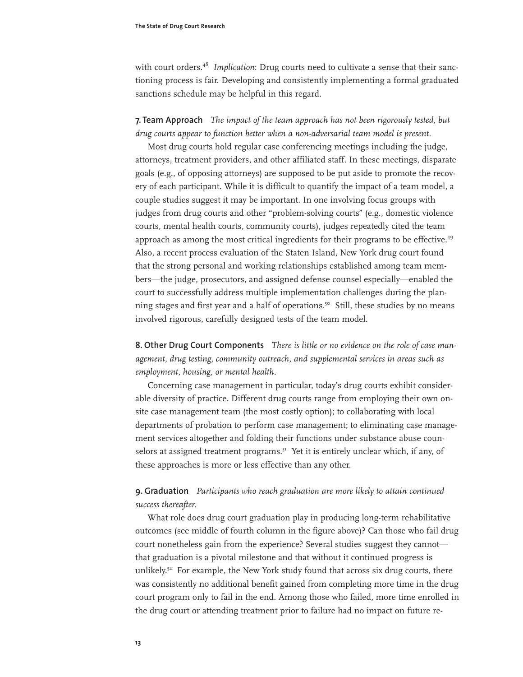with court orders.48 *Implication*: Drug courts need to cultivate a sense that their sanctioning process is fair. Developing and consistently implementing a formal graduated sanctions schedule may be helpful in this regard.

#### **7. Team Approach** *The impact of the team approach has not been rigorously tested, but drug courts appear to function better when a non-adversarial team model is present.*

Most drug courts hold regular case conferencing meetings including the judge, attorneys, treatment providers, and other affiliated staff. In these meetings, disparate goals (e.g., of opposing attorneys) are supposed to be put aside to promote the recovery of each participant. While it is difficult to quantify the impact of a team model, a couple studies suggest it may be important. In one involving focus groups with judges from drug courts and other "problem-solving courts" (e.g., domestic violence courts, mental health courts, community courts), judges repeatedly cited the team approach as among the most critical ingredients for their programs to be effective.<sup>49</sup> Also, a recent process evaluation of the Staten Island, New York drug court found that the strong personal and working relationships established among team members—the judge, prosecutors, and assigned defense counsel especially—enabled the court to successfully address multiple implementation challenges during the planning stages and first year and a half of operations.<sup>50</sup> Still, these studies by no means involved rigorous, carefully designed tests of the team model.

**8. Other Drug Court Components** *There is little or no evidence on the role of case management, drug testing, community outreach, and supplemental services in areas such as employment, housing, or mental health.*

Concerning case management in particular, today's drug courts exhibit considerable diversity of practice. Different drug courts range from employing their own onsite case management team (the most costly option); to collaborating with local departments of probation to perform case management; to eliminating case management services altogether and folding their functions under substance abuse counselors at assigned treatment programs.<sup>51</sup> Yet it is entirely unclear which, if any, of these approaches is more or less effective than any other.

#### **9. Graduation** *Participants who reach graduation are more likely to attain continued success thereafter.*

What role does drug court graduation play in producing long-term rehabilitative outcomes (see middle of fourth column in the figure above)? Can those who fail drug court nonetheless gain from the experience? Several studies suggest they cannot that graduation is a pivotal milestone and that without it continued progress is unlikely.<sup>52</sup> For example, the New York study found that across six drug courts, there was consistently no additional benefit gained from completing more time in the drug court program only to fail in the end. Among those who failed, more time enrolled in the drug court or attending treatment prior to failure had no impact on future re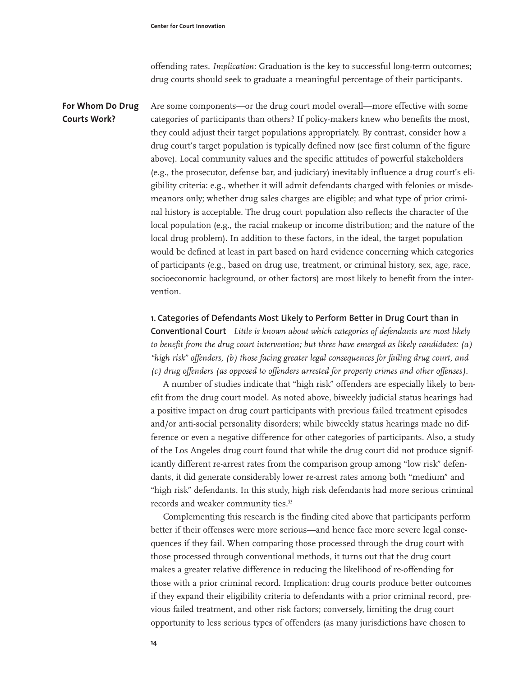offending rates. *Implication*: Graduation is the key to successful long-term outcomes; drug courts should seek to graduate a meaningful percentage of their participants.

Are some components—or the drug court model overall—more effective with some categories of participants than others? If policy-makers knew who benefits the most, they could adjust their target populations appropriately. By contrast, consider how a drug court's target population is typically defined now (see first column of the figure above). Local community values and the specific attitudes of powerful stakeholders (e.g., the prosecutor, defense bar, and judiciary) inevitably influence a drug court's eligibility criteria: e.g., whether it will admit defendants charged with felonies or misdemeanors only; whether drug sales charges are eligible; and what type of prior criminal history is acceptable. The drug court population also reflects the character of the local population (e.g., the racial makeup or income distribution; and the nature of the local drug problem). In addition to these factors, in the ideal, the target population would be defined at least in part based on hard evidence concerning which categories of participants (e.g., based on drug use, treatment, or criminal history, sex, age, race, socioeconomic background, or other factors) are most likely to benefit from the intervention. **For Whom Do Drug Courts Work?**

> **1. Categories of Defendants Most Likely to Perform Better in Drug Court than in Conventional Court** *Little is known about which categories of defendants are most likely to benefit from the drug court intervention; but three have emerged as likely candidates: (a) "high risk" offenders, (b) those facing greater legal consequences for failing drug court, and (c) drug offenders (as opposed to offenders arrested for property crimes and other offenses).*

> A number of studies indicate that "high risk" offenders are especially likely to benefit from the drug court model. As noted above, biweekly judicial status hearings had a positive impact on drug court participants with previous failed treatment episodes and/or anti-social personality disorders; while biweekly status hearings made no difference or even a negative difference for other categories of participants. Also, a study of the Los Angeles drug court found that while the drug court did not produce significantly different re-arrest rates from the comparison group among "low risk" defendants, it did generate considerably lower re-arrest rates among both "medium" and "high risk" defendants. In this study, high risk defendants had more serious criminal records and weaker community ties.<sup>53</sup>

Complementing this research is the finding cited above that participants perform better if their offenses were more serious—and hence face more severe legal consequences if they fail. When comparing those processed through the drug court with those processed through conventional methods, it turns out that the drug court makes a greater relative difference in reducing the likelihood of re-offending for those with a prior criminal record. Implication: drug courts produce better outcomes if they expand their eligibility criteria to defendants with a prior criminal record, previous failed treatment, and other risk factors; conversely, limiting the drug court opportunity to less serious types of offenders (as many jurisdictions have chosen to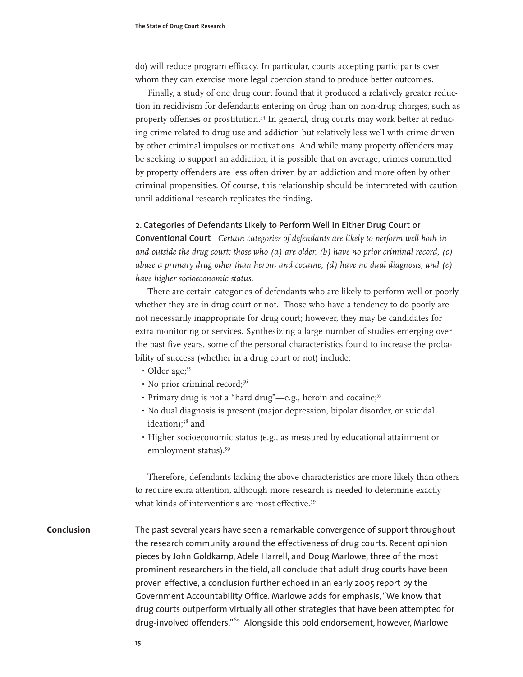do) will reduce program efficacy. In particular, courts accepting participants over whom they can exercise more legal coercion stand to produce better outcomes.

Finally, a study of one drug court found that it produced a relatively greater reduction in recidivism for defendants entering on drug than on non-drug charges, such as property offenses or prostitution.54 In general, drug courts may work better at reducing crime related to drug use and addiction but relatively less well with crime driven by other criminal impulses or motivations. And while many property offenders may be seeking to support an addiction, it is possible that on average, crimes committed by property offenders are less often driven by an addiction and more often by other criminal propensities. Of course, this relationship should be interpreted with caution until additional research replicates the finding.

#### **2. Categories of Defendants Likely to Perform Well in Either Drug Court or**

**Conventional Court** *Certain categories of defendants are likely to perform well both in and outside the drug court: those who (a) are older, (b) have no prior criminal record, (c) abuse a primary drug other than heroin and cocaine, (d) have no dual diagnosis, and (e) have higher socioeconomic status.* 

There are certain categories of defendants who are likely to perform well or poorly whether they are in drug court or not. Those who have a tendency to do poorly are not necessarily inappropriate for drug court; however, they may be candidates for extra monitoring or services. Synthesizing a large number of studies emerging over the past five years, some of the personal characteristics found to increase the probability of success (whether in a drug court or not) include:

- · Older age;<sup>55</sup>
- No prior criminal record;<sup>56</sup>
- · Primary drug is not a "hard drug"-e.g., heroin and cocaine;<sup>57</sup>
- No dual diagnosis is present (major depression, bipolar disorder, or suicidal ideation); $58$  and
- $\cdot$  Higher socioeconomic status (e.g., as measured by educational attainment or employment status).<sup>59</sup>

Therefore, defendants lacking the above characteristics are more likely than others to require extra attention, although more research is needed to determine exactly what kinds of interventions are most effective.<sup>59</sup>

The past several years have seen a remarkable convergence of support throughout the research community around the effectiveness of drug courts. Recent opinion pieces by John Goldkamp, Adele Harrell, and Doug Marlowe, three of the most prominent researchers in the field, all conclude that adult drug courts have been proven effective, a conclusion further echoed in an early 2005 report by the Government Accountability Office. Marlowe adds for emphasis, "We know that drug courts outperform virtually all other strategies that have been attempted for drug-involved offenders."<sup>60</sup> Alongside this bold endorsement, however, Marlowe **Conclusion**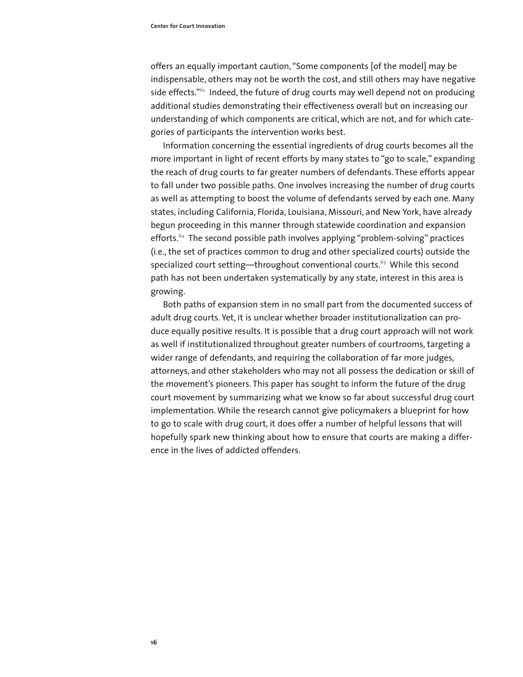offers an equally important caution, "Some components [of the model] may be indispensable, others may not be worth the cost, and still others may have negative side effects." $61$  Indeed, the future of drug courts may well depend not on producing additional studies demonstrating their effectiveness overall but on increasing our understanding of which components are critical, which are not, and for which categories of participants the intervention works best.

Information concerning the essential ingredients of drug courts becomes all the more important in light of recent efforts by many states to "go to scale," expanding the reach of drug courts to far greater numbers of defendants. These efforts appear to fall under two possible paths. One involves increasing the number of drug courts as well as attempting to boost the volume of defendants served by each one. Many states, including California, Florida, Louisiana, Missouri, and New York, have already begun proceeding in this manner through statewide coordination and expansion efforts. $62$  The second possible path involves applying "problem-solving" practices (i.e., the set of practices common to drug and other specialized courts) outside the specialized court setting—throughout conventional courts.<sup>63</sup> While this second path has not been undertaken systematically by any state, interest in this area is growing.

Both paths of expansion stem in no small part from the documented success of adult drug courts. Yet, it is unclear whether broader institutionalization can produce equally positive results. It is possible that a drug court approach will not work as well if institutionalized throughout greater numbers of courtrooms, targeting a wider range of defendants, and requiring the collaboration of far more judges, attorneys, and other stakeholders who may not all possess the dedication or skill of the movement's pioneers. This paper has sought to inform the future of the drug court movement by summarizing what we know so far about successful drug court implementation. While the research cannot give policymakers a blueprint for how to go to scale with drug court, it does offer a number of helpful lessons that will hopefully spark new thinking about how to ensure that courts are making a difference in the lives of addicted offenders.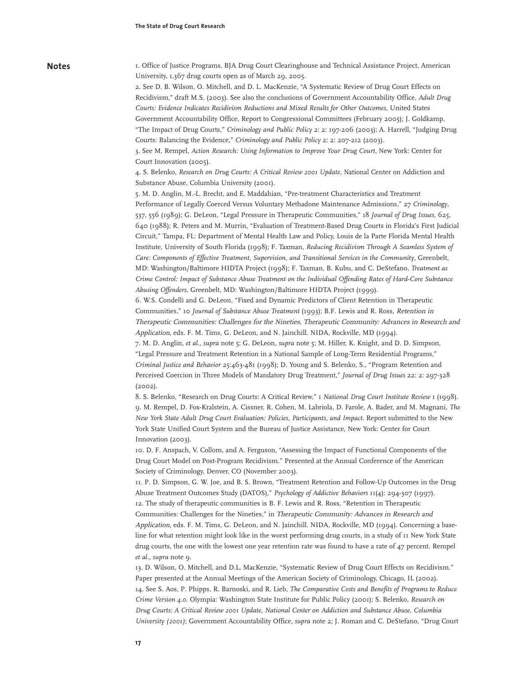#### **Notes**

1. Office of Justice Programs, BJA Drug Court Clearinghouse and Technical Assistance Project, American University, 1,367 drug courts open as of March 29, 2005.

2. See D. B. Wilson, O. Mitchell, and D. L. MacKenzie, "A Systematic Review of Drug Court Effects on Recidivism," draft M.S. (2003). See also the conclusions of Government Accountability Office, *Adult Drug Courts: Evidence Indicates Recidivism Reductions and Mixed Results for Other Outcomes*, United States Government Accountability Office, Report to Congressional Committees (February 2005); J. Goldkamp, "The Impact of Drug Courts," *Criminology and Public Policy* 2: 2: 197-206 (2003); A. Harrell, "Judging Drug

Courts: Balancing the Evidence," *Criminology and Public Policy* 2: 2: 207-212 (2003).

3. See M. Rempel, *Action Research: Using Information to Improve Your Drug Court,* New York: Center for Court Innovation (2005).

4. S. Belenko, *Research on Drug Courts: A Critical Review 2001 Update*, National Center on Addiction and Substance Abuse, Columbia University (2001).

5. M. D. Anglin, M.-L. Brecht, and E. Maddahian, "Pre-treatment Characteristics and Treatment Performance of Legally Coerced Versus Voluntary Methadone Maintenance Admissions," 27 *Criminology*, 537, 556 (1989); G. DeLeon, "Legal Pressure in Therapeutic Communities," 18 *Journal of Drug Issues*, 625, 640 (1988); R. Peters and M. Murrin, "Evaluation of Treatment-Based Drug Courts in Florida's First Judicial Circuit," Tampa, FL: Department of Mental Health Law and Policy, Louis de la Parte Florida Mental Health Institute, University of South Florida (1998); F. Taxman, *Reducing Recidivism Through A Seamless System of Care: Components of Effective Treatment, Supervision, and Transitional Services in the Community*, Greenbelt, MD: Washington/Baltimore HIDTA Project (1998); F. Taxman, B. Kubu, and C. DeStefano, *Treatment as Crime Control: Impact of Substance Abuse Treatment on the Individual Offending Rates of Hard-Core Substance Abusing Offenders*, Greenbelt, MD: Washington/Baltimore HIDTA Project (1999).

6. W.S. Condelli and G. DeLeon, "Fixed and Dynamic Predictors of Client Retention in Therapeutic Communities," 10 *Journal of Substance Abuse Treatment* (1993); B.F. Lewis and R. Ross, Retention in Therapeutic Communities: Challenges for the Nineties, Therapeutic Community: Advances in Research and Application, eds. F. M. Tims, G. DeLeon, and N. Jainchill. NIDA, Rockville, MD (1994).

7. M. D. Anglin, *et al., supra* note 5; G. DeLeon, *supra* note 5; M. Hiller, K. Knight, and D. D. Simpson, "Legal Pressure and Treatment Retention in a National Sample of Long-Term Residential Programs," *Criminal Justice and Behavior* 25:463-481 (1998); D. Young and S. Belenko, S., "Program Retention and Perceived Coercion in Three Models of Mandatory Drug Treatment," *Journal of Drug Issues* 22: 2: 297-328 (2002).

8. S. Belenko, "Research on Drug Courts: A Critical Review," 1 *National Drug Court Institute Review* 1 (1998). 9. M. Rempel, D. Fox-Kralstein, A. Cissner, R. Cohen, M. Labriola, D. Farole, A. Bader, and M. Magnani, *The New York State Adult Drug Court Evaluation: Policies, Participants, and Impact.* Report submitted to the New York State Unified Court System and the Bureau of Justice Assistance, New York: Center for Court Innovation (2003).

10. D. F. Anspach, V. Collom, and A. Ferguson, "Assessing the Impact of Functional Components of the Drug Court Model on Post-Program Recidivism." Presented at the Annual Conference of the American Society of Criminology, Denver, CO (November 2003).

11. P. D. Simpson, G. W. Joe, and B. S. Brown, "Treatment Retention and Follow-Up Outcomes in the Drug Abuse Treatment Outcomes Study (DATOS)," *Psychology of Addictive Behaviors* 11(4): 294-307 (1997). 12. The study of therapeutic communities is B. F. Lewis and R. Ross, "Retention in Therapeutic Communities: Challenges for the Nineties," in Therapeutic Community: Advances in Research and Application, eds. F. M. Tims, G. DeLeon, and N. Jainchill. NIDA, Rockville, MD (1994). Concerning a baseline for what retention might look like in the worst performing drug courts, in a study of 11 New York State drug courts, the one with the lowest one year retention rate was found to have a rate of 47 percent. Rempel *et al., supra* note 9.

13. D. Wilson, O. Mitchell, and D.L. MacKenzie, "Systematic Review of Drug Court Effects on Recidivism." Paper presented at the Annual Meetings of the American Society of Criminology, Chicago, IL (2002). 14. See S. Aos, P. Phipps, R. Barnoski, and R. Lieb, *The Comparative Costs and Benefits of Programs to Reduce Crime Version 4.0*. Olympia: Washington State Institute for Public Policy (2001); S. Belenko, *Research on Drug Courts: A Critical Review 2001 Update, National Center on Addiction and Substance Abuse, Columbia University (2001)*; Government Accountability Office, *supra* note 2; J. Roman and C. DeStefano, "Drug Court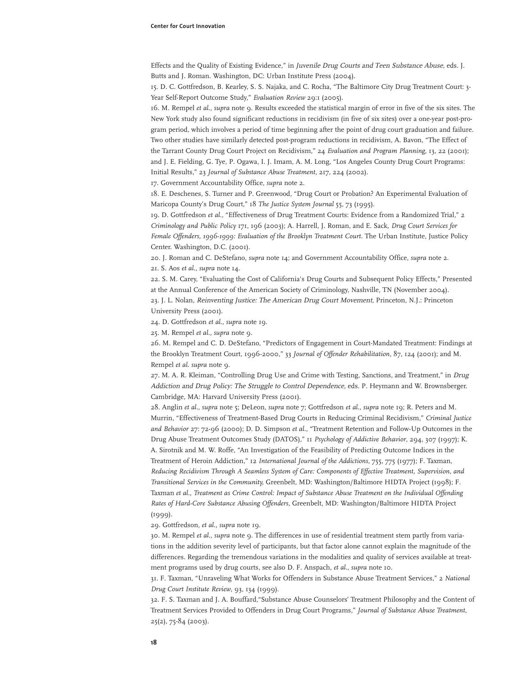Effects and the Quality of Existing Evidence," in Juvenile Drug Courts and Teen Substance Abuse, eds. J. Butts and J. Roman. Washington, DC: Urban Institute Press (2004).

15. D. C. Gottfredson, B. Kearley, S. S. Najaka, and C. Rocha, "The Baltimore City Drug Treatment Court: 3- Year Self-Report Outcome Study," *Evaluation Review* 29:1 (2005).

16. M. Rempel *et al*., *supra* note 9. Results exceeded the statistical margin of error in five of the six sites. The New York study also found significant reductions in recidivism (in five of six sites) over a one-year post-program period, which involves a period of time beginning after the point of drug court graduation and failure. Two other studies have similarly detected post-program reductions in recidivism, A. Bavon, "The Effect of the Tarrant County Drug Court Project on Recidivism," 24 *Evaluation and Program Planning*, 13, 22 (2001); and J. E. Fielding, G. Tye, P. Ogawa, I. J. Imam, A. M. Long, "Los Angeles County Drug Court Programs:

Initial Results," 23 *Journal of Substance Abuse Treatment*, 217, 224 (2002).

17. Government Accountability Office, *supra* note 2.

18. E. Deschenes, S. Turner and P. Greenwood*,* "Drug Court or Probation? An Experimental Evaluation of Maricopa County's Drug Court," 18 *The Justice System Journal* 55, 73 (1995).

19. D. Gottfredson *et al*., "Effectiveness of Drug Treatment Courts: Evidence from a Randomized Trial," 2 *Criminology and Public Policy* 171, 196 (2003); A. Harrell, J. Roman, and E. Sack, *Drug Court Services for Female Offenders, 1996-1999: Evaluation of the Brooklyn Treatment Court.* The Urban Institute, Justice Policy Center. Washington, D.C. (2001).

20. J. Roman and C. DeStefano, *supra* note 14; and Government Accountability Office, *supra* note 2. 21. S. Aos *et al*., *supra* note 14.

22. S. M. Carey, "Evaluating the Cost of California's Drug Courts and Subsequent Policy Effects," Presented at the Annual Conference of the American Society of Criminology, Nashville, TN (November 2004). 23. J. L. Nolan, Reinventing Justice: The American Drug Court Movement, Princeton, N.J.: Princeton University Press (2001).

24. D. Gottfredson *et al*., *supra* note 19.

25. M. Rempel *et al*., *supra* note 9.

26. M. Rempel and C. D. DeStefano, "Predictors of Engagement in Court-Mandated Treatment: Findings at the Brooklyn Treatment Court, 1996-2000," 33 *Journal of Offender Rehabilitation,* 87, 124 (2001); and M. Rempel *et al*. *supra* note 9.

27. M. A. R. Kleiman, "Controlling Drug Use and Crime with Testing, Sanctions, and Treatment," in Drug Addiction and Drug Policy: The Struggle to Control Dependence, eds. P. Heymann and W. Brownsberger. Cambridge, MA: Harvard University Press (2001).

28. Anglin *et al*., *supra* note 5; DeLeon, *supra* note 7; Gottfredson *et al*., *supra* note 19; R. Peters and M. Murrin, "Effectiveness of Treatment-Based Drug Courts in Reducing Criminal Recidivism," *Criminal Justice and Behavior* 27: 72-96 (2000); D. D. Simpson *et al*., "Treatment Retention and Follow-Up Outcomes in the Drug Abuse Treatment Outcomes Study (DATOS)," 11 *Psychology of Addictive Behavior*, 294, 307 (1997); K. A. Sirotnik and M. W. Roffe, "An Investigation of the Feasibility of Predicting Outcome Indices in the Treatment of Heroin Addiction," 12 *International Journal of the Addictions*, 755, 775 (1977); F. Taxman, *Reducing Recidivism Through A Seamless System of Care: Components of Effective Treatment, Supervision, and Transitional Services in the Community,* Greenbelt, MD: Washington/Baltimore HIDTA Project (1998); F. Taxman *et al*., *Treatment as Crime Control: Impact of Substance Abuse Treatment on the Individual Offending Rates of Hard-Core Substance Abusing Offenders*, Greenbelt, MD: Washington/Baltimore HIDTA Project  $(1999)$ .

29. Gottfredson, *et al*., *supra* note 19.

30. M. Rempel *et al*., *supra* note 9. The differences in use of residential treatment stem partly from variations in the addition severity level of participants, but that factor alone cannot explain the magnitude of the differences. Regarding the tremendous variations in the modalities and quality of services available at treatment programs used by drug courts, see also D. F. Anspach, *et al*., *supra* note 10.

31. F. Taxman, "Unraveling What Works for Offenders in Substance Abuse Treatment Services," 2 *National Drug Court Institute Review*, 93, 134 (1999).

32. F. S. Taxman and J. A. Bouffard,"Substance Abuse Counselors' Treatment Philosophy and the Content of Treatment Services Provided to Offenders in Drug Court Programs," *Journal of Substance Abuse Treatment*, 25(2), 75-84 (2003).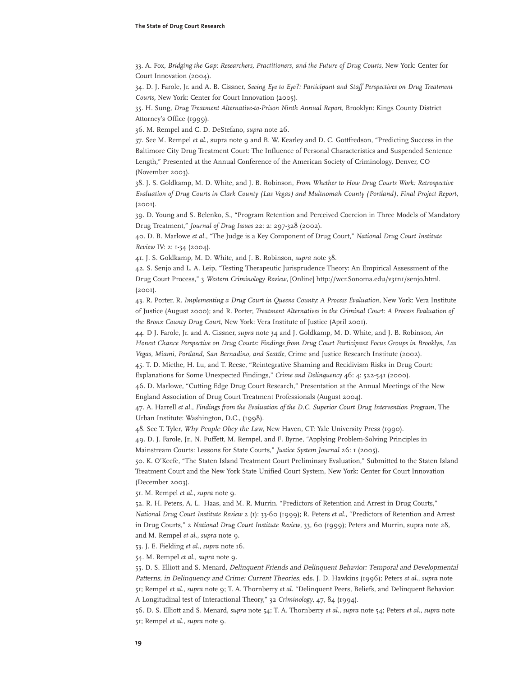33. A. Fox, *Bridging the Gap: Researchers, Practitioners, and the Future of Drug Courts*, New York: Center for Court Innovation (2004).

34. D. J. Farole, Jr. and A. B. Cissner, *Seeing Eye to Eye?: Participant and Staff Perspectives on Drug Treatment Courts,* New York: Center for Court Innovation (2005).

35. H. Sung, *Drug Treatment Alternative-to-Prison Ninth Annual Report*, Brooklyn: Kings County District Attorney's Office (1999).

36. M. Rempel and C. D. DeStefano, *supra* note 26.

37. See M. Rempel *et al*., supra note 9 and B. W. Kearley and D. C. Gottfredson, "Predicting Success in the Baltimore City Drug Treatment Court: The Influence of Personal Characteristics and Suspended Sentence Length," Presented at the Annual Conference of the American Society of Criminology, Denver, CO (November 2003).

38. J. S. Goldkamp, M. D. White, and J. B. Robinson, *From Whether to How Drug Courts Work: Retrospective Evaluation of Drug Courts in Clark County (Las Vegas) and Multnomah County (Portland), Final Project Report*, (2001).

39. D. Young and S. Belenko, S., "Program Retention and Perceived Coercion in Three Models of Mandatory Drug Treatment," *Journal of Drug Issues* 22: 2: 297-328 (2002).

40. D. B. Marlowe *et al*., "The Judge is a Key Component of Drug Court," *National Drug Court Institute Review* IV: 2: 1-34 (2004).

41. J. S. Goldkamp, M. D. White, and J. B. Robinson, *supra* note 38.

42. S. Senjo and L. A. Leip, "Testing Therapeutic Jurisprudence Theory: An Empirical Assessment of the Drug Court Process," 3 *Western Criminology Review*, [Online] http://wcr.Sonoma.edu/v31n1/senjo.html. (2001).

43. R. Porter, R. *Implementing a Drug Court in Queens County: A Process Evaluation*, New York: Vera Institute of Justice (August 2000); and R. Porter, *Treatment Alternatives in the Criminal Court: A Process Evaluation of the Bronx County Drug Court*, New York: Vera Institute of Justice (April 2001).

44. D J. Farole, Jr. and A. Cissner, *supra* note 34 and J. Goldkamp, M. D. White, and J. B. Robinson, *An Honest Chance Perspective on Drug Courts: Findings from Drug Court Participant Focus Groups in Brooklyn, Las Vegas, Miami, Portland, San Bernadino, and Seattle*, Crime and Justice Research Institute (2002).

45. T. D. Miethe, H. Lu, and T. Reese, "Reintegrative Shaming and Recidivism Risks in Drug Court: Explanations for Some Unexpected Findings," *Crime and Delinquency* 46: 4: 522-541 (2000).

46. D. Marlowe, "Cutting Edge Drug Court Research," Presentation at the Annual Meetings of the New England Association of Drug Court Treatment Professionals (August 2004).

47. A. Harrell *et al*., *Findings from the Evaluation of the D.C. Superior Court Drug Intervention Program,* The Urban Institute: Washington, D.C., (1998).

48. See T. Tyler, Why People Obey the Law, New Haven, CT: Yale University Press (1990).

49. D. J. Farole, Jr., N. Puffett, M. Rempel, and F. Byrne, "Applying Problem-Solving Principles in

Mainstream Courts: Lessons for State Courts," *Justice System Journal* 26: 1 (2005).

50. K. O'Keefe, "The Staten Island Treatment Court Preliminary Evaluation," Submitted to the Staten Island Treatment Court and the New York State Unified Court System, New York: Center for Court Innovation (December 2003).

51. M. Rempel *et al*., *supra* note 9.

52. R. H. Peters, A. L. Haas, and M. R. Murrin. "Predictors of Retention and Arrest in Drug Courts," *National Drug Court Institute Review* 2 (1): 33-60 (1999); R. Peters *et al*., "Predictors of Retention and Arrest in Drug Courts," 2 *National Drug Court Institute Review*, 33, 60 (1999); Peters and Murrin, supra note 28, and M. Rempel *et al., supra* note 9.

53. J. E. Fielding *et al., supra* note 16.

54. M. Rempel *et al., supra* note 9.

55. D. S. Elliott and S. Menard, Delinquent Friends and Delinquent Behavior: Temporal and Developmental Patterns, in Delinquency and Crime: Current Theories, eds. J. D. Hawkins (1996); Peters *et al*., *supra* note 51; Rempel *et al*., *supra* note 9; T. A. Thornberry *et al*. "Delinquent Peers, Beliefs, and Delinquent Behavior: A Longitudinal test of Interactional Theory," 32 *Criminology*, 47, 84 (1994).

56. D. S. Elliott and S. Menard, *supra* note 54; T. A. Thornberry *et al.*, *supra* note 54; Peters *et al.*, *supra* note 51; Rempel *et al., supra* note 9.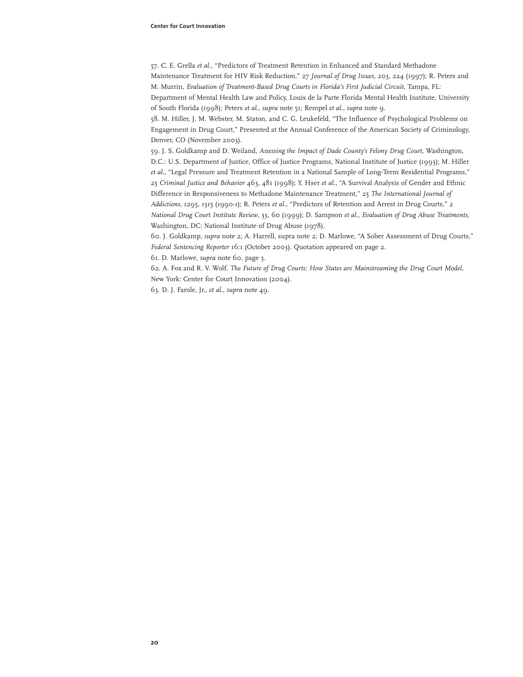57. C. E. Grella *et al*., "Predictors of Treatment Retention in Enhanced and Standard Methadone Maintenance Treatment for HIV Risk Reduction," 27 *Journal of Drug Issues*, 203, 224 (1997); R. Peters and M. Murrin, *Evaluation of Treatment-Based Drug Courts in Florida's First Judicial Circuit*, Tampa, FL: Department of Mental Health Law and Policy, Louis de la Parte Florida Mental Health Institute, University

58. M. Hiller, J. M. Webster, M. Staton, and C. G. Leukefeld, "The Influence of Psychological Problems on Engagement in Drug Court," Presented at the Annual Conference of the American Society of Criminology, Denver, CO (November 2003).

of South Florida (1998); Peters *et al., supra* note 51; Rempel *et al., supra* note 9.

59. J. S. Goldkamp and D. Weiland, *Assessing the Impact of Dade County's Felony Drug Court*, Washington, D.C.: U.S. Department of Justice, Office of Justice Programs, National Institute of Justice (1993); M. Hiller *et al*., "Legal Pressure and Treatment Retention in a National Sample of Long-Term Residential Programs," 25 *Criminal Justice and Behavior* 463, 481 (1998); Y. Hser *et al*., "A Survival Analysis of Gender and Ethnic Difference in Responsiveness to Methadone Maintenance Treatment," 25 *The International Journal of Addictions*, 1295, 1315 (1990-1); R. Peters *et al*., "Predictors of Retention and Arrest in Drug Courts," 2 *National Drug Court Institute Review*, 33, 60 (1999); D. Sampson *et al*., *Evaluation of Drug Abuse Treatments*, Washington, DC: National Institute of Drug Abuse (1978).

60. J. Goldkamp, *supra* note 2; A. Harrell, supra note 2; D. Marlowe, "A Sober Assessment of Drug Courts," *Federal Sentencing Reporter* 16:1 (October 2003). Quotation appeared on page 2.

61. D. Marlowe, *supra* note 60, page 3.

62. A. Fox and R. V. Wolf. *The Future of Drug Courts: How States are Mainstreaming the Drug Court Model*, New York: Center for Court Innovation (2004).

63. D. J. Farole, Jr., *et al.*, *supra* note 49.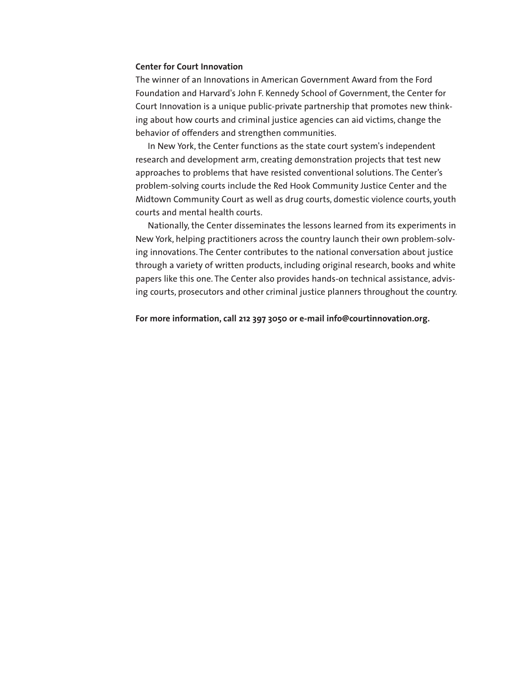#### **Center for Court Innovation**

The winner of an Innovations in American Government Award from the Ford Foundation and Harvard's John F. Kennedy School of Government, the Center for Court Innovation is a unique public-private partnership that promotes new thinking about how courts and criminal justice agencies can aid victims, change the behavior of offenders and strengthen communities.

In New York, the Center functions as the state court system's independent research and development arm, creating demonstration projects that test new approaches to problems that have resisted conventional solutions. The Center's problem-solving courts include the Red Hook Community Justice Center and the Midtown Community Court as well as drug courts, domestic violence courts, youth courts and mental health courts.

Nationally, the Center disseminates the lessons learned from its experiments in New York, helping practitioners across the country launch their own problem-solving innovations. The Center contributes to the national conversation about justice through a variety of written products, including original research, books and white papers like this one. The Center also provides hands-on technical assistance, advising courts, prosecutors and other criminal justice planners throughout the country.

**For more information, call 212 397 3050 or e-mail info@courtinnovation.org.**